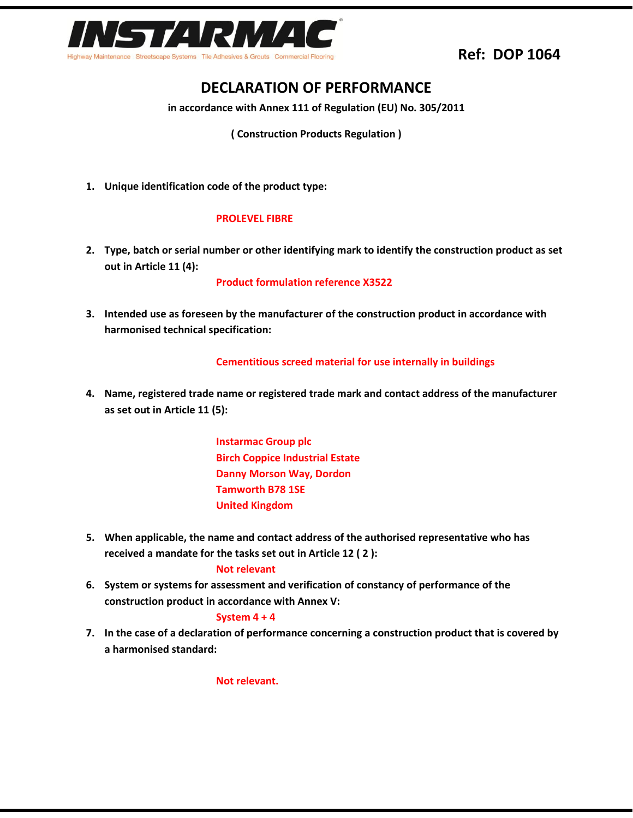

# **Ref: DOP 1064**

# **DECLARATION OF PERFORMANCE**

**in accordance with Annex 111 of Regulation (EU) No. 305/2011**

**( Construction Products Regulation )**

**1. Unique identification code of the product type:**

### **PROLEVEL FIBRE**

**2. Type, batch or serial number or other identifying mark to identify the construction product as set out in Article 11 (4):**

**Product formulation reference X3522**

**3. Intended use as foreseen by the manufacturer of the construction product in accordance with harmonised technical specification:**

#### **Cementitious screed material for use internally in buildings**

**4. Name, registered trade name or registered trade mark and contact address of the manufacturer as set out in Article 11 (5):**

> **Instarmac Group plc Birch Coppice Industrial Estate Danny Morson Way, Dordon Tamworth B78 1SE United Kingdom**

**5. When applicable, the name and contact address of the authorised representative who has received a mandate for the tasks set out in Article 12 ( 2 ):**

#### **Not relevant**

**6. System or systems for assessment and verification of constancy of performance of the construction product in accordance with Annex V:**

#### **System 4 + 4**

**7. In the case of a declaration of performance concerning a construction product that is covered by a harmonised standard:**

**Not relevant.**